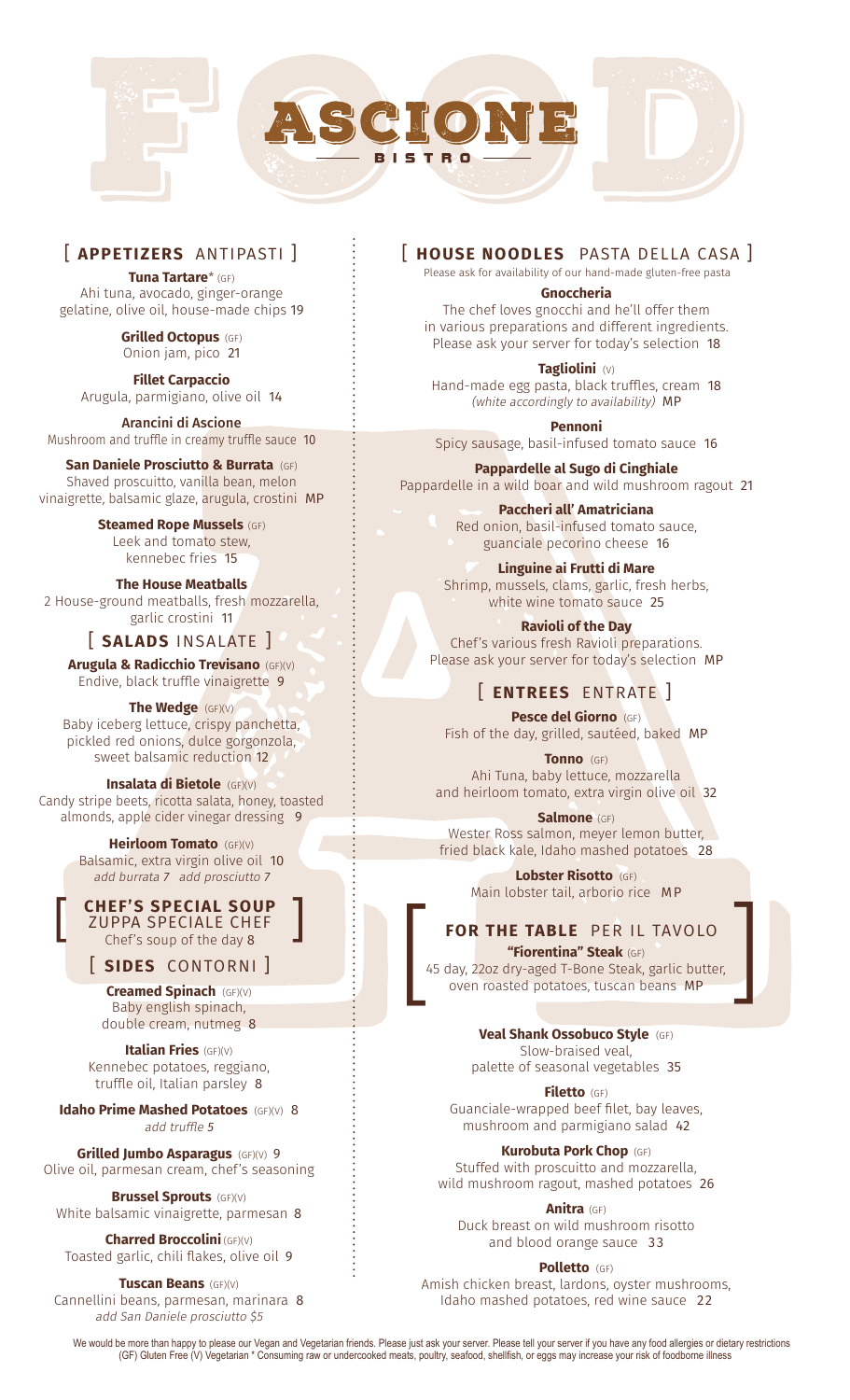

### [ **APPETIZERS** ANTIPASTI ]

**Tuna Tartare**\* (GF) Ahi tuna, avocado, ginger-orange gelatine, olive oil, house-made chips 19

> **Grilled Octopus** (GF) Onion jam, pico 21

**Fillet Carpaccio** Arugula, parmigiano, olive oil 14

Arancini di Ascione Mushroom and truffle in creamy truffle sauce 10

**San Daniele Prosciutto & Burrata** (GF) Shaved proscuitto, vanilla bean, melon vinaigrette, balsamic glaze, arugula, crostini MP

> **Steamed Rope Mussels** (GF) Leek and tomato stew, kennebec fries 15

**The House Meatballs**  2 House-ground meatballs, fresh mozzarella, garlic crostini 11

### [ **SALADS** INSALATE ]

**Arugula & Radicchio Trevisano** (GF)(V) Endive, black truffle vinaigrette 9

**The Wedge** (GF)(V) Baby iceberg lettuce, crispy panchetta, pickled red onions, dulce gorgonzola, sweet balsamic reduction 12

**Insalata di Bietole** (GF)(V) Candy stripe beets, ricotta salata, honey, toasted almonds, apple cider vinegar dressing 9

> **Heirloom Tomato** (GF)(V) Balsamic, extra virgin olive oil 10 add burrata 7 add prosciutto 7

> **CHEF'S SPECIAL SOUP ZUPPA SPECIALE CHEF**<br>Chef's soup of the day 8

[ **SIDES** CONTORNI ]

**Creamed Spinach** (GF)(V) Baby english spinach, double cream, nutmeg 8

**Italian Fries** (GF)(V) Kennebec potatoes, reggiano, truffle oil, Italian parsley 8

**Idaho Prime Mashed Potatoes** (GF)(V) 8 add truffle 5

**Grilled Jumbo Asparagus** (GF)(V) 9 Olive oil, parmesan cream, chef's seasoning

**Brussel Sprouts** (GF)(V) White balsamic vinaigrette, parmesan 8

**Charred Broccolini** (GF)(V) Toasted garlic, chili flakes, olive oil 9

**Tuscan Beans** (GF)(V) Cannellini beans, parmesan, marinara 8 add San Daniele prosciutto \$5

### [ **HOUSE NOODLES** PASTA DELLA CASA ]

Please ask for availability of our hand-made gluten-free pasta

**Gnoccheria**

The chef loves gnocchi and he'll offer them in various preparations and different ingredients. Please ask your server for today's selection 18

**Tagliolini** (V) Hand-made egg pasta, black truffles, cream 18 (white accordingly to availability) MP

**Pennoni**  Spicy sausage, basil-infused tomato sauce 16

**Pappardelle al Sugo di Cinghiale** Pappardelle in a wild boar and wild mushroom ragout 21

> **Paccheri all' Amatriciana** Red onion, basil-infused tomato sauce, guanciale pecorino cheese 16

**Linguine ai Frutti di Mare** Shrimp, mussels, clams, garlic, fresh herbs, white wine tomato sauce 25

**Ravioli of the Day** Chef's various fresh Ravioli preparations. Please ask your server for today's selection MP

# [ **ENTREES** ENTRATE ]

**Pesce del Giorno** (GF) Fish of the day, grilled, sautéed, baked MP

**Tonno** (GF) Ahi Tuna, baby lettuce, mozzarella and heirloom tomato, extra virgin olive oil 32

**Salmone** (GF) Wester Ross salmon, meyer lemon butter, fried black kale, Idaho mashed potatoes 28

> **Lobster Risotto** (GF) Main lobster tail, arborio rice MP

# **FOR THE TABLE** PER IL TAVOLO

**"Fiorentina" Steak** (GF) 45 day, 22oz dry-aged T-Bone Steak, garlic butter, oven roasted potatoes, tuscan beans MP **CHEF'S SPECIAL SOUP**<br>
ZUPPA SPECIALE CHEF<br>
Chef's soup of the day 8<br> **SIDES** CONTORNI ]<br> **Creamed Spinach** (GF)(V)<br>
Baby english spinach, and the coven roasted potatoes, tuscan beans MP<br>
Baby english spinach,

> **Veal Shank Ossobuco Style** (GF) Slow-braised veal,

palette of seasonal vegetables 35

**Filetto** (GF) Guanciale-wrapped beef filet, bay leaves, mushroom and parmigiano salad 42

**Kurobuta Pork Chop** (GF) Stuffed with proscuitto and mozzarella,

wild mushroom ragout, mashed potatoes 26

**Anitra** (GF) Duck breast on wild mushroom risotto and blood orange sauce 33

**Polletto** (GF)

Amish chicken breast, lardons, oyster mushrooms, Idaho mashed potatoes, red wine sauce 22

We would be more than happy to please our Vegan and Vegetarian friends. Please just ask your server. Please tell your server if you have any food allergies or dietary restrictions (GF) Gluten Free (V) Vegetarian \* Consuming raw or undercooked meats, poultry, seafood, shellfish, or eggs may increase your risk of foodborne illness